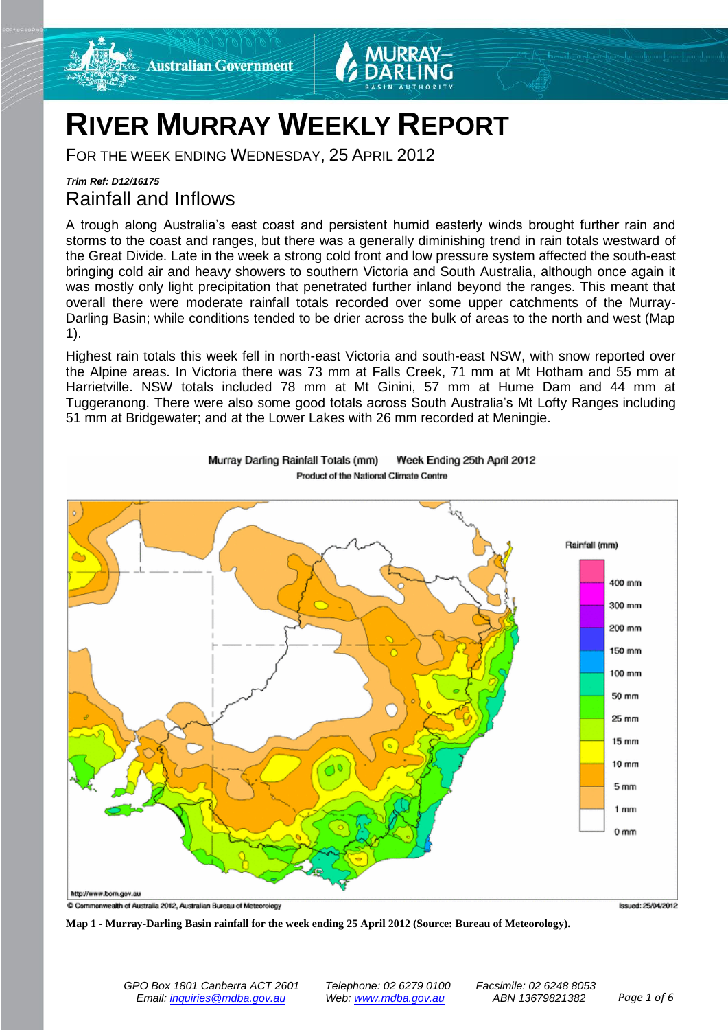

# **RIVER MURRAY WEEKLY REPORT**

FOR THE WEEK ENDING WEDNESDAY, 25 APRIL 2012

# *Trim Ref: D12/16175* Rainfall and Inflows

A trough along Australia's east coast and persistent humid easterly winds brought further rain and storms to the coast and ranges, but there was a generally diminishing trend in rain totals westward of the Great Divide. Late in the week a strong cold front and low pressure system affected the south-east bringing cold air and heavy showers to southern Victoria and South Australia, although once again it was mostly only light precipitation that penetrated further inland beyond the ranges. This meant that overall there were moderate rainfall totals recorded over some upper catchments of the Murray-Darling Basin; while conditions tended to be drier across the bulk of areas to the north and west (Map 1).

Highest rain totals this week fell in north-east Victoria and south-east NSW, with snow reported over the Alpine areas. In Victoria there was 73 mm at Falls Creek, 71 mm at Mt Hotham and 55 mm at Harrietville. NSW totals included 78 mm at Mt Ginini, 57 mm at Hume Dam and 44 mm at Tuggeranong. There were also some good totals across South Australia's Mt Lofty Ranges including 51 mm at Bridgewater; and at the Lower Lakes with 26 mm recorded at Meningie.



Murray Darling Rainfall Totals (mm) Week Ending 25th April 2012 Product of the National Climate Centre

**Map 1 - Murray-Darling Basin rainfall for the week ending 25 April 2012 (Source: Bureau of Meteorology).**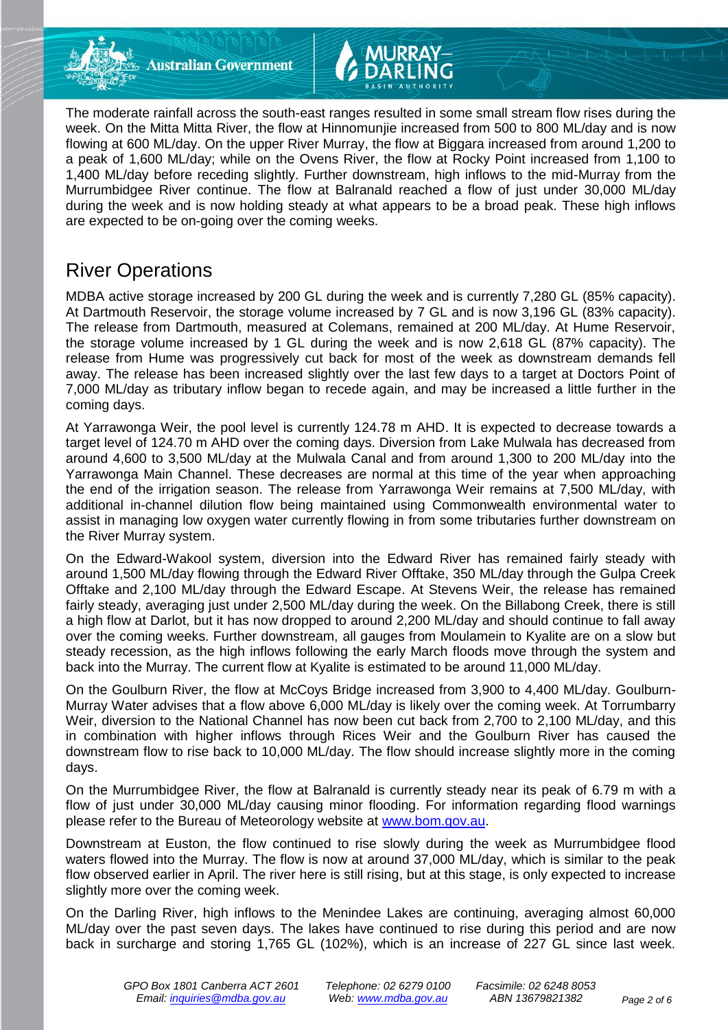



# River Operations

MDBA active storage increased by 200 GL during the week and is currently 7,280 GL (85% capacity). At Dartmouth Reservoir, the storage volume increased by 7 GL and is now 3,196 GL (83% capacity). The release from Dartmouth, measured at Colemans, remained at 200 ML/day. At Hume Reservoir, the storage volume increased by 1 GL during the week and is now 2,618 GL (87% capacity). The release from Hume was progressively cut back for most of the week as downstream demands fell away. The release has been increased slightly over the last few days to a target at Doctors Point of 7,000 ML/day as tributary inflow began to recede again, and may be increased a little further in the coming days.

At Yarrawonga Weir, the pool level is currently 124.78 m AHD. It is expected to decrease towards a target level of 124.70 m AHD over the coming days. Diversion from Lake Mulwala has decreased from around 4,600 to 3,500 ML/day at the Mulwala Canal and from around 1,300 to 200 ML/day into the Yarrawonga Main Channel. These decreases are normal at this time of the year when approaching the end of the irrigation season. The release from Yarrawonga Weir remains at 7,500 ML/day, with additional in-channel dilution flow being maintained using Commonwealth environmental water to assist in managing low oxygen water currently flowing in from some tributaries further downstream on the River Murray system.

On the Edward-Wakool system, diversion into the Edward River has remained fairly steady with around 1,500 ML/day flowing through the Edward River Offtake, 350 ML/day through the Gulpa Creek Offtake and 2,100 ML/day through the Edward Escape. At Stevens Weir, the release has remained fairly steady, averaging just under 2,500 ML/day during the week. On the Billabong Creek, there is still a high flow at Darlot, but it has now dropped to around 2,200 ML/day and should continue to fall away over the coming weeks. Further downstream, all gauges from Moulamein to Kyalite are on a slow but steady recession, as the high inflows following the early March floods move through the system and back into the Murray. The current flow at Kyalite is estimated to be around 11,000 ML/day.

On the Goulburn River, the flow at McCoys Bridge increased from 3,900 to 4,400 ML/day. Goulburn-Murray Water advises that a flow above 6,000 ML/day is likely over the coming week. At Torrumbarry Weir, diversion to the National Channel has now been cut back from 2,700 to 2,100 ML/day, and this in combination with higher inflows through Rices Weir and the Goulburn River has caused the downstream flow to rise back to 10,000 ML/day. The flow should increase slightly more in the coming days.

On the Murrumbidgee River, the flow at Balranald is currently steady near its peak of 6.79 m with a flow of just under 30,000 ML/day causing minor flooding. For information regarding flood warnings please refer to the Bureau of Meteorology website at [www.bom.gov.au.](http://www.bom.gov.au/)

Downstream at Euston, the flow continued to rise slowly during the week as Murrumbidgee flood waters flowed into the Murray. The flow is now at around 37,000 ML/day, which is similar to the peak flow observed earlier in April. The river here is still rising, but at this stage, is only expected to increase slightly more over the coming week.

On the Darling River, high inflows to the Menindee Lakes are continuing, averaging almost 60,000 ML/day over the past seven days. The lakes have continued to rise during this period and are now back in surcharge and storing 1,765 GL (102%), which is an increase of 227 GL since last week.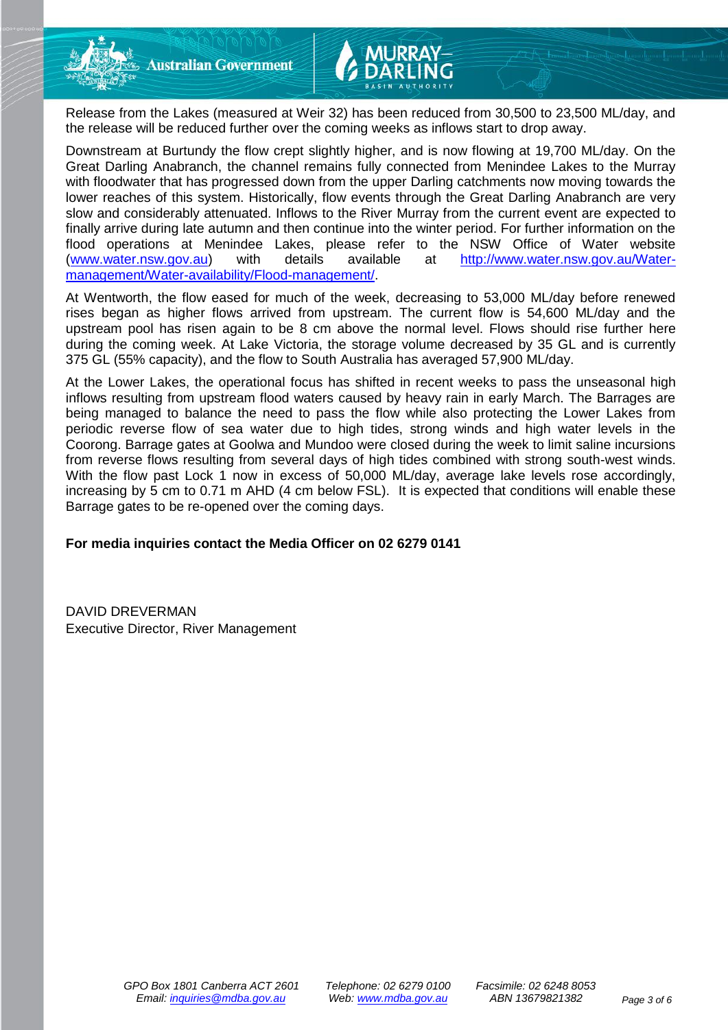Release from the Lakes (measured at Weir 32) has been reduced from 30,500 to 23,500 ML/day, and the release will be reduced further over the coming weeks as inflows start to drop away.

Downstream at Burtundy the flow crept slightly higher, and is now flowing at 19,700 ML/day. On the Great Darling Anabranch, the channel remains fully connected from Menindee Lakes to the Murray with floodwater that has progressed down from the upper Darling catchments now moving towards the lower reaches of this system. Historically, flow events through the Great Darling Anabranch are very slow and considerably attenuated. Inflows to the River Murray from the current event are expected to finally arrive during late autumn and then continue into the winter period. For further information on the flood operations at Menindee Lakes, please refer to the NSW Office of Water website [\(www.water.nsw.gov.au\)](http://www.water.nsw.gov.au/) with details available at [http://www.water.nsw.gov.au/Water](http://www.water.nsw.gov.au/Water-management/Water-availability/Flood-management/)[management/Water-availability/Flood-management/.](http://www.water.nsw.gov.au/Water-management/Water-availability/Flood-management/)

At Wentworth, the flow eased for much of the week, decreasing to 53,000 ML/day before renewed rises began as higher flows arrived from upstream. The current flow is 54,600 ML/day and the upstream pool has risen again to be 8 cm above the normal level. Flows should rise further here during the coming week. At Lake Victoria, the storage volume decreased by 35 GL and is currently 375 GL (55% capacity), and the flow to South Australia has averaged 57,900 ML/day.

At the Lower Lakes, the operational focus has shifted in recent weeks to pass the unseasonal high inflows resulting from upstream flood waters caused by heavy rain in early March. The Barrages are being managed to balance the need to pass the flow while also protecting the Lower Lakes from periodic reverse flow of sea water due to high tides, strong winds and high water levels in the Coorong. Barrage gates at Goolwa and Mundoo were closed during the week to limit saline incursions from reverse flows resulting from several days of high tides combined with strong south-west winds. With the flow past Lock 1 now in excess of 50,000 ML/day, average lake levels rose accordingly, increasing by 5 cm to 0.71 m AHD (4 cm below FSL). It is expected that conditions will enable these Barrage gates to be re-opened over the coming days.

**For media inquiries contact the Media Officer on 02 6279 0141**

DAVID DREVERMAN Executive Director, River Management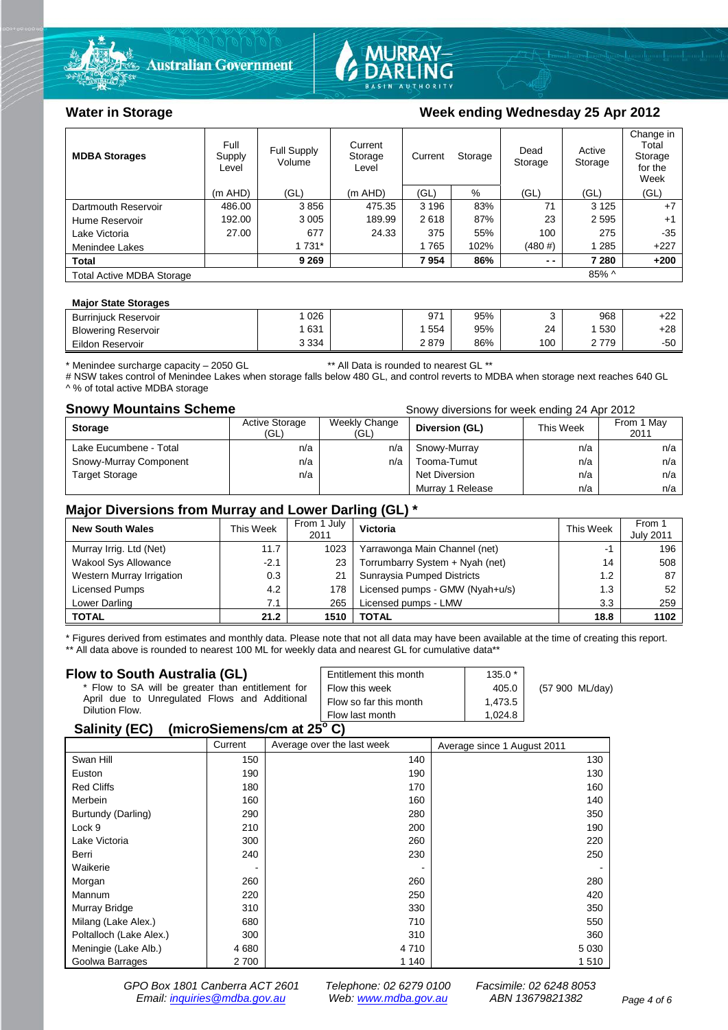



### Water in Storage Week ending Wednesday 25 Apr 2012

| <b>MDBA Storages</b>             | Full<br>Supply<br>Level | Full Supply<br>Volume | Current<br>Storage<br>Level | Current | Storage | Dead<br>Storage | Active<br>Storage | Change in<br>Total<br>Storage<br>for the<br>Week |
|----------------------------------|-------------------------|-----------------------|-----------------------------|---------|---------|-----------------|-------------------|--------------------------------------------------|
|                                  | $(m$ AHD)               | (GL)                  | $(m$ AHD)                   | (GL)    | %       | (GL)            | (GL)              | (GL)                                             |
| Dartmouth Reservoir              | 486.00                  | 3856                  | 475.35                      | 3 1 9 6 | 83%     | 71              | 3 1 2 5           | $+7$                                             |
| Hume Reservoir                   | 192.00                  | 3 0 0 5               | 189.99                      | 2618    | 87%     | 23              | 2 5 9 5           | $+1$                                             |
| Lake Victoria                    | 27.00                   | 677                   | 24.33                       | 375     | 55%     | 100             | 275               | $-35$                                            |
| Menindee Lakes                   |                         | 1 7 3 1 *             |                             | 1765    | 102%    | (480#)          | 1 285             | $+227$                                           |
| Total                            |                         | 9 2 6 9               |                             | 7954    | 86%     | $ -$            | 7 280             | $+200$                                           |
| <b>Total Active MDBA Storage</b> |                         |                       |                             |         |         |                 | 85% ^             |                                                  |

#### **Major State Storages**

| <b>Burriniuck Reservoir</b> | 026     | 971  | 95% |     | 968 | $. \cap$<br>+22 |
|-----------------------------|---------|------|-----|-----|-----|-----------------|
| <b>Blowering Reservoir</b>  | 631     | 554  | 95% | 24  | 530 | $+28$           |
| Eildon Reservoir            | 3 3 3 4 | 2879 | 86% | 100 | 779 | $-50$           |

\* Menindee surcharge capacity – 2050 GL \*\* All Data is rounded to nearest GL \*\*

# NSW takes control of Menindee Lakes when storage falls below 480 GL, and control reverts to MDBA when storage next reaches 640 GL ^ % of total active MDBA storage

**Snowy Mountains Scheme Snowy diversions for week ending 24 Apr 2012** 

| <b>Storage</b>         | <b>Active Storage</b><br>(GL) | Weekly Change<br>(GL) | Diversion (GL)   | This Week | From 1 May<br>2011 |
|------------------------|-------------------------------|-----------------------|------------------|-----------|--------------------|
| Lake Eucumbene - Total | n/a                           | n/a                   | Snowy-Murray     | n/a       | n/a                |
| Snowy-Murray Component | n/a                           | n/a                   | Tooma-Tumut      | n/a       | n/a                |
| <b>Target Storage</b>  | n/a                           |                       | Net Diversion    | n/a       | n/a                |
|                        |                               |                       | Murray 1 Release | n/a       | n/a                |

### **Major Diversions from Murray and Lower Darling (GL) \***

| <b>New South Wales</b>    | This Week | From 1 July<br>2011 | <b>Victoria</b>                 | <b>This Week</b> | From 1<br><b>July 2011</b> |
|---------------------------|-----------|---------------------|---------------------------------|------------------|----------------------------|
| Murray Irrig. Ltd (Net)   | 11.7      | 1023                | Yarrawonga Main Channel (net)   |                  | 196                        |
| Wakool Sys Allowance      | $-2.1$    | 23                  | Torrumbarry System + Nyah (net) | 14               | 508                        |
| Western Murray Irrigation | 0.3       | 21                  | Sunraysia Pumped Districts      | 1.2              | 87                         |
| Licensed Pumps            | 4.2       | 178                 | Licensed pumps - GMW (Nyah+u/s) | 1.3              | 52                         |
| Lower Darling             | 7.1       | 265                 | Licensed pumps - LMW            | 3.3              | 259                        |
| <b>TOTAL</b>              | 21.2      | 1510                | <b>TOTAL</b>                    | 18.8             | 1102                       |

\* Figures derived from estimates and monthly data. Please note that not all data may have been available at the time of creating this report. \*\* All data above is rounded to nearest 100 ML for weekly data and nearest GL for cumulative data\*\*

#### **Flow to South Australia (GL)**

| Flow to South Australia (GL)<br>* Flow to SA will be greater than entitlement for<br>April due to Unregulated Flows and Additional<br>Dilution Flow. | Entitlement this month<br>Flow this week<br>Flow so far this month | $135.0*$<br>405.0<br>1.473.5 | (57 900 ML/day) |
|------------------------------------------------------------------------------------------------------------------------------------------------------|--------------------------------------------------------------------|------------------------------|-----------------|
|                                                                                                                                                      | Flow last month                                                    | 1.024.8                      |                 |
| $\mathbf{A}$ , $\mathbf{B}$ , $\mathbf{A}$ , $\mathbf{B}$                                                                                            |                                                                    |                              |                 |

### **Salinity (EC) (microSiemens/cm at 25<sup>o</sup> C)**

|                         | Current | Average over the last week | Average since 1 August 2011 |
|-------------------------|---------|----------------------------|-----------------------------|
| Swan Hill               | 150     | 140                        | 130                         |
| Euston                  | 190     | 190                        | 130                         |
| <b>Red Cliffs</b>       | 180     | 170                        | 160                         |
| Merbein                 | 160     | 160                        | 140                         |
| Burtundy (Darling)      | 290     | 280                        | 350                         |
| Lock 9                  | 210     | 200                        | 190                         |
| Lake Victoria           | 300     | 260                        | 220                         |
| Berri                   | 240     | 230                        | 250                         |
| Waikerie                | -       |                            |                             |
| Morgan                  | 260     | 260                        | 280                         |
| Mannum                  | 220     | 250                        | 420                         |
| Murray Bridge           | 310     | 330                        | 350                         |
| Milang (Lake Alex.)     | 680     | 710                        | 550                         |
| Poltalloch (Lake Alex.) | 300     | 310                        | 360                         |
| Meningie (Lake Alb.)    | 4680    | 4710                       | 5 0 3 0                     |
| Goolwa Barrages         | 2700    | 1 140                      | 1510                        |

*GPO Box 1801 Canberra ACT 2601 Telephone: 02 6279 0100 Facsimile: 02 6248 8053 Email: inquiries@mdba.gov.au Web: www.mdba.gov.au ABN 13679821382 Page 4 of 6*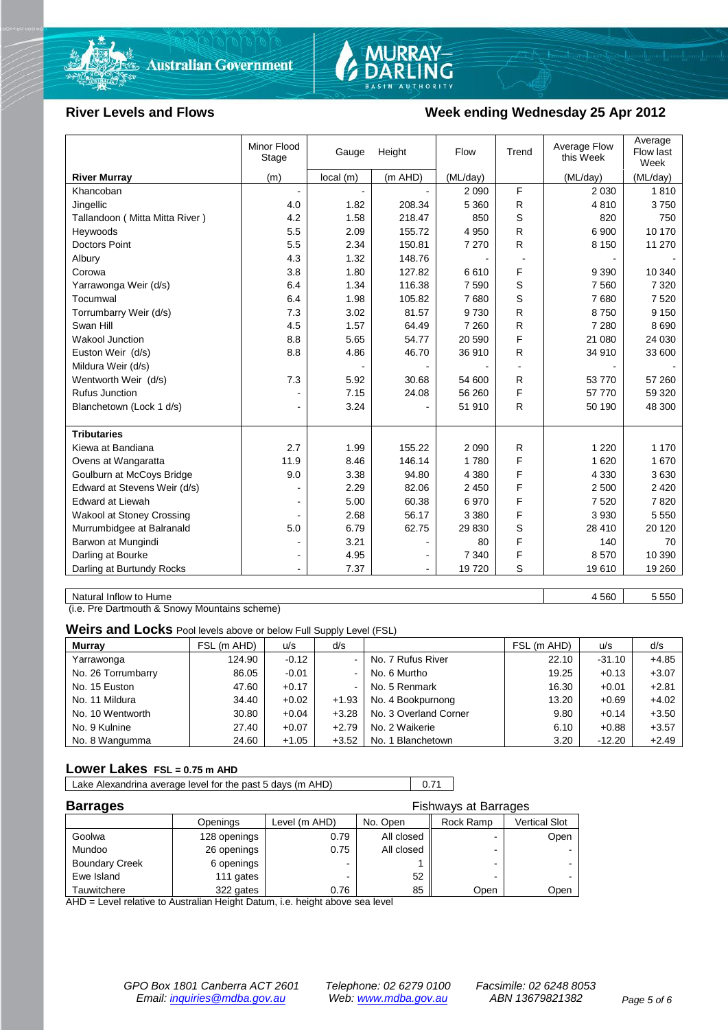



### River Levels and Flows **Week ending Wednesday 25 Apr 2012**

|                                  | Minor Flood<br>Stage | Gauge    | Height  | Flow     | Trend        | Average Flow<br>this Week | Average<br>Flow last<br>Week |
|----------------------------------|----------------------|----------|---------|----------|--------------|---------------------------|------------------------------|
| <b>River Murray</b>              | (m)                  | local(m) | (m AHD) | (ML/day) |              | (ML/day)                  | (ML/day)                     |
| Khancoban                        |                      |          |         | 2 0 9 0  | F            | 2 0 3 0                   | 1810                         |
| Jingellic                        | 4.0                  | 1.82     | 208.34  | 5 3 6 0  | R            | 4810                      | 3750                         |
| Tallandoon (Mitta Mitta River)   | 4.2                  | 1.58     | 218.47  | 850      | S            | 820                       | 750                          |
| Heywoods                         | 5.5                  | 2.09     | 155.72  | 4 9 5 0  | R            | 6 900                     | 10 170                       |
| <b>Doctors Point</b>             | 5.5                  | 2.34     | 150.81  | 7 2 7 0  | R.           | 8 1 5 0                   | 11 270                       |
| Albury                           | 4.3                  | 1.32     | 148.76  |          |              |                           |                              |
| Corowa                           | 3.8                  | 1.80     | 127.82  | 6610     | F            | 9 3 9 0                   | 10 340                       |
| Yarrawonga Weir (d/s)            | 6.4                  | 1.34     | 116.38  | 7 5 9 0  | S            | 7 5 6 0                   | 7 3 2 0                      |
| Tocumwal                         | 6.4                  | 1.98     | 105.82  | 7680     | S            | 7680                      | 7520                         |
| Torrumbarry Weir (d/s)           | 7.3                  | 3.02     | 81.57   | 9730     | $\mathsf{R}$ | 8750                      | 9 1 5 0                      |
| Swan Hill                        | 4.5                  | 1.57     | 64.49   | 7 2 6 0  | R            | 7 2 8 0                   | 8690                         |
| Wakool Junction                  | 8.8                  | 5.65     | 54.77   | 20 590   | F            | 21 080                    | 24 030                       |
| Euston Weir (d/s)                | 8.8                  | 4.86     | 46.70   | 36 910   | R            | 34 910                    | 33 600                       |
| Mildura Weir (d/s)               |                      |          |         |          |              |                           |                              |
| Wentworth Weir (d/s)             | 7.3                  | 5.92     | 30.68   | 54 600   | R            | 53 770                    | 57 260                       |
| <b>Rufus Junction</b>            |                      | 7.15     | 24.08   | 56 260   | F            | 57 770                    | 59 320                       |
| Blanchetown (Lock 1 d/s)         | ۰                    | 3.24     |         | 51 910   | R            | 50 190                    | 48 300                       |
| <b>Tributaries</b>               |                      |          |         |          |              |                           |                              |
| Kiewa at Bandiana                | 2.7                  | 1.99     | 155.22  | 2 0 9 0  | R            | 1 2 2 0                   | 1 1 7 0                      |
| Ovens at Wangaratta              | 11.9                 | 8.46     | 146.14  | 1780     | F            | 1 6 2 0                   | 1670                         |
| Goulburn at McCoys Bridge        | 9.0                  | 3.38     | 94.80   | 4 3 8 0  | F            | 4 3 3 0                   | 3630                         |
| Edward at Stevens Weir (d/s)     |                      | 2.29     | 82.06   | 2 4 5 0  | F            | 2 500                     | 2 4 2 0                      |
| Edward at Liewah                 |                      | 5.00     | 60.38   | 6970     | F            | 7520                      | 7820                         |
| <b>Wakool at Stoney Crossing</b> |                      | 2.68     | 56.17   | 3 3 8 0  | F            | 3 9 3 0                   | 5 5 5 0                      |
| Murrumbidgee at Balranald        | 5.0                  | 6.79     | 62.75   | 29 830   | S            | 28 410                    | 20 120                       |
| Barwon at Mungindi               | $\blacksquare$       | 3.21     |         | 80       | F            | 140                       | 70                           |
| Darling at Bourke                | $\blacksquare$       | 4.95     |         | 7 3 4 0  | F            | 8570                      | 10 390                       |
| Darling at Burtundy Rocks        | $\blacksquare$       | 7.37     |         | 19720    | S            | 19610                     | 19 260                       |

Natural Inflow to Hume 5550

(i.e. Pre Dartmouth & Snowy Mountains scheme)

**Weirs and Locks** Pool levels above or below Full Supply Level (FSL)

| <b>Murray</b>      | FSL (m AHD) | u/s     | d/s                      |                       | FSL (m AHD) | u/s      | d/s     |
|--------------------|-------------|---------|--------------------------|-----------------------|-------------|----------|---------|
| Yarrawonga         | 124.90      | $-0.12$ | - 1                      | No. 7 Rufus River     | 22.10       | $-31.10$ | $+4.85$ |
| No. 26 Torrumbarry | 86.05       | $-0.01$ | $\overline{\phantom{0}}$ | No. 6 Murtho          | 19.25       | $+0.13$  | $+3.07$ |
| No. 15 Euston      | 47.60       | $+0.17$ | $\overline{\phantom{0}}$ | No. 5 Renmark         | 16.30       | $+0.01$  | $+2.81$ |
| No. 11 Mildura     | 34.40       | $+0.02$ | $+1.93$                  | No. 4 Bookpurnong     | 13.20       | $+0.69$  | $+4.02$ |
| No. 10 Wentworth   | 30.80       | $+0.04$ | $+3.28$                  | No. 3 Overland Corner | 9.80        | $+0.14$  | $+3.50$ |
| No. 9 Kulnine      | 27.40       | $+0.07$ | $+2.79$                  | No. 2 Waikerie        | 6.10        | $+0.88$  | $+3.57$ |
| No. 8 Wangumma     | 24.60       | $+1.05$ | $+3.52$                  | No. 1 Blanchetown     | 3.20        | $-12.20$ | $+2.49$ |

#### **Lower Lakes FSL = 0.75 m AHD**

| Lake Alexandrina average level for the past 5 days (m AHD) | 0.71 |
|------------------------------------------------------------|------|
|                                                            |      |

| <b>Barrages</b><br>Fishways at Barrages |              |               |            |           |               |
|-----------------------------------------|--------------|---------------|------------|-----------|---------------|
|                                         | Openings     | Level (m AHD) | No. Open   | Rock Ramp | Vertical Slot |
| Goolwa                                  | 128 openings | 0.79          | All closed | -         | Open          |
| Mundoo                                  | 26 openings  | 0.75          | All closed | -         |               |
| <b>Boundary Creek</b>                   | 6 openings   |               |            | -         |               |
| Ewe Island                              | 111 gates    |               | 52         |           |               |
| Tauwitchere                             | 322 gates    | 0.76          | 85         | Open      | Open          |

AHD = Level relative to Australian Height Datum, i.e. height above sea level